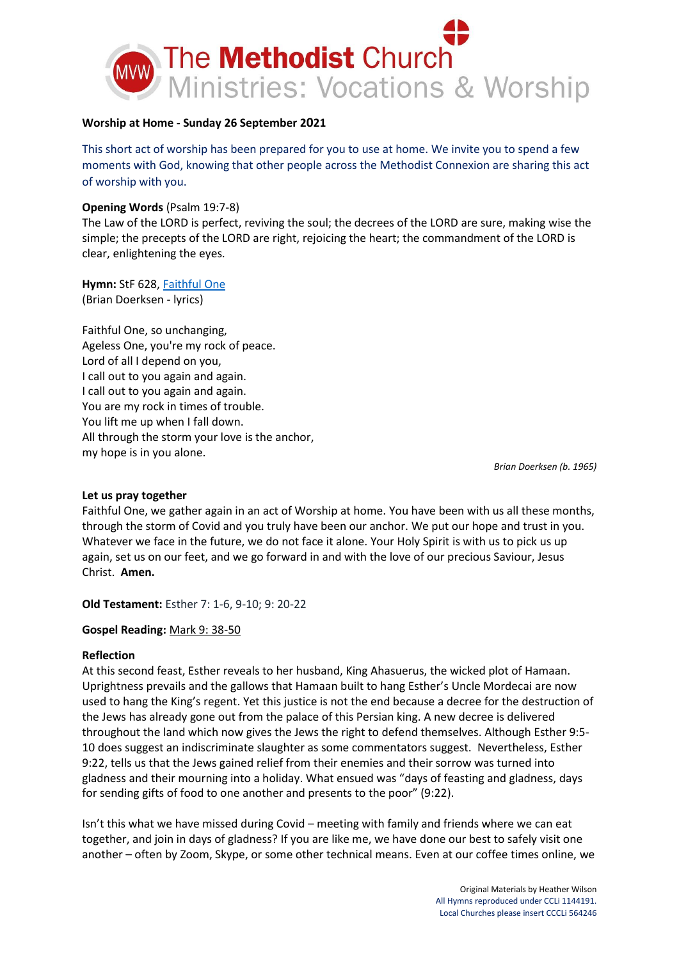

## **Worship at Home - Sunday 26 September 2021**

This short act of worship has been prepared for you to use at home. We invite you to spend a few moments with God, knowing that other people across the Methodist Connexion are sharing this act of worship with you.

## **Opening Words** (Psalm 19:7-8)

The Law of the LORD is perfect, reviving the soul; the decrees of the LORD are sure, making wise the simple; the precepts of the LORD are right, rejoicing the heart; the commandment of the LORD is clear, enlightening the eyes.

**Hymn:** StF 628, [Faithful One](https://www.youtube.com/watch?v=7PjSO5Ihl0M) (Brian Doerksen - lyrics)

Faithful One, so unchanging, Ageless One, you're my rock of peace. Lord of all I depend on you, I call out to you again and again. I call out to you again and again. You are my rock in times of trouble. You lift me up when I fall down. All through the storm your love is the anchor, my hope is in you alone.

*Brian Doerksen (b. 1965)*

### **Let us pray together**

Faithful One, we gather again in an act of Worship at home. You have been with us all these months, through the storm of Covid and you truly have been our anchor. We put our hope and trust in you. Whatever we face in the future, we do not face it alone. Your Holy Spirit is with us to pick us up again, set us on our feet, and we go forward in and with the love of our precious Saviour, Jesus Christ. **Amen.**

**Old Testament:** [Esther 7: 1-6, 9-10; 9: 20-22](https://www.biblegateway.com/passage/?search=ESTHER%207:1-6,9-10;9:20-22)

### **Gospel Reading:** [Mark 9: 38-50](https://www.biblegateway.com/passage/?search=Mark%209%3A38-50&version=NIV)

# **Reflection**

At this second feast, Esther reveals to her husband, King Ahasuerus, the wicked plot of Hamaan. Uprightness prevails and the gallows that Hamaan built to hang Esther's Uncle Mordecai are now used to hang the King's regent. Yet this justice is not the end because a decree for the destruction of the Jews has already gone out from the palace of this Persian king. A new decree is delivered throughout the land which now gives the Jews the right to defend themselves. Although Esther 9:5- 10 does suggest an indiscriminate slaughter as some commentators suggest. Nevertheless, Esther 9:22, tells us that the Jews gained relief from their enemies and their sorrow was turned into gladness and their mourning into a holiday. What ensued was "days of feasting and gladness, days for sending gifts of food to one another and presents to the poor" (9:22).

Isn't this what we have missed during Covid – meeting with family and friends where we can eat together, and join in days of gladness? If you are like me, we have done our best to safely visit one another – often by Zoom, Skype, or some other technical means. Even at our coffee times online, we